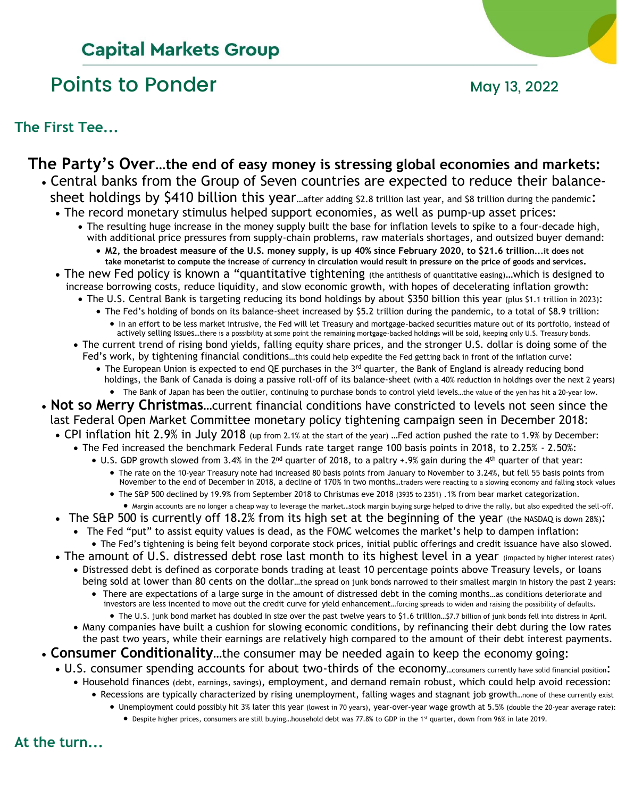# **Capital Markets Group**

# Points to Ponder May 13, 2022

**The First Tee...**

## **The Party's Over…the end of easy money is stressing global economies and markets:**

- Central banks from the Group of Seven countries are expected to reduce their balance sheet holdings by \$410 billion this year...after adding \$2.8 trillion last year, and \$8 trillion during the pandemic:
	- The record monetary stimulus helped support economies, as well as pump-up asset prices:
		- The resulting huge increase in the money supply built the base for inflation levels to spike to a four-decade high, with additional price pressures from supply-chain problems, raw materials shortages, and outsized buyer demand: • **M2, the broadest measure of the U.S. money supply, is up 40% since February 2020, to \$21.6 trillion...it does not** 
			- **take monetarist to compute the increase** of **currency in circulation would result in pressure on the price of goods and services.**
	- The new Fed policy is known a "quantitative tightening (the antithesis of quantitative easing)…which is designed to increase borrowing costs, reduce liquidity, and slow economic growth, with hopes of decelerating inflation growth:
		- The U.S. Central Bank is targeting reducing its bond holdings by about \$350 billion this year (plus \$1.1 trillion in 2023):
			- The Fed's holding of bonds on its balance-sheet increased by \$5.2 trillion during the pandemic, to a total of \$8.9 trillion: • In an effort to be less market intrusive, the Fed will let Treasury and mortgage-backed securities mature out of its portfolio, instead of actively selling issues…there is a possibility at some point the remaining mortgage-backed holdings will be sold, keeping only U.S. Treasury bonds.
		- The current trend of rising bond yields, falling equity share prices, and the stronger U.S. dollar is doing some of the Fed's work, by tightening financial conditions…this could help expedite the Fed getting back in front of the inflation curve:
			- The European Union is expected to end QE purchases in the 3<sup>rd</sup> quarter, the Bank of England is already reducing bond holdings, the Bank of Canada is doing a passive roll-off of its balance-sheet (with a 40% reduction in holdings over the next 2 years)
				- The Bank of Japan has been the outlier, continuing to purchase bonds to control yield levels…the value of the yen has hit a 20-year low.
- **Not so Merry Christmas**…current financial conditions have constricted to levels not seen since the
	- last Federal Open Market Committee monetary policy tightening campaign seen in December 2018:
	- CPI inflation hit 2.9% in July 2018 (up from 2.1% at the start of the year) …Fed action pushed the rate to 1.9% by December:
		- The Fed increased the benchmark Federal Funds rate target range 100 basis points in 2018, to 2.25% 2.50%:
			- U.S. GDP growth slowed from 3.4% in the 2<sup>nd</sup> quarter of 2018, to a paltry +.9% gain during the 4<sup>th</sup> quarter of that year: • The rate on the 10-year Treasury note had increased 80 basis points from January to November to 3.24%, but fell 55 basis points from
				- November to the end of December in 2018, a decline of 170% in two months…traders were reacting to a slowing economy and falling stock values
				- The S&P 500 declined by 19.9% from September 2018 to Christmas eve 2018 (3935 to 2351) .1% from bear market categorization.
	- Margin accounts are no longer a cheap way to leverage the market…stock margin buying surge helped to drive the rally, but also expedited the sell-off. • The S&P 500 is currently off 18.2% from its high set at the beginning of the year (the NASDAQ is down 28%):
		- The Fed "put" to assist equity values is dead, as the FOMC welcomes the market's help to dampen inflation: • The Fed's tightening is being felt beyond corporate stock prices, initial public offerings and credit issuance have also slowed.
	- The amount of U.S. distressed debt rose last month to its highest level in a year (impacted by higher interest rates)
		- Distressed debt is defined as corporate bonds trading at least 10 percentage points above Treasury levels, or loans
			- being sold at lower than 80 cents on the dollar…the spread on junk bonds narrowed to their smallest margin in history the past 2 years: • There are expectations of a large surge in the amount of distressed debt in the coming months…as conditions deteriorate and investors are less incented to move out the credit curve for yield enhancement…forcing spreads to widen and raising the possibility of defaults.
				- The U.S. junk bond market has doubled in size over the past twelve years to \$1.6 trillion…\$7.7 billion of junk bonds fell into distress in April.
		- Many companies have built a cushion for slowing economic conditions, by refinancing their debt during the low rates the past two years, while their earnings are relatively high compared to the amount of their debt interest payments.
- **Consumer Conditionality**…the consumer may be needed again to keep the economy going:
	- U.S. consumer spending accounts for about two-thirds of the economy…consumers currently have solid financial position:
		- Household finances (debt, earnings, savings), employment, and demand remain robust, which could help avoid recession:
			- Recessions are typically characterized by rising unemployment, falling wages and stagnant job growth…none of these currently exist
				- Unemployment could possibly hit 3% later this year (lowest in 70 years), year-over-year wage growth at 5.5% (double the 20-year average rate): • Despite higher prices, consumers are still buying...household debt was 77.8% to GDP in the 1st quarter, down from 96% in late 2019.